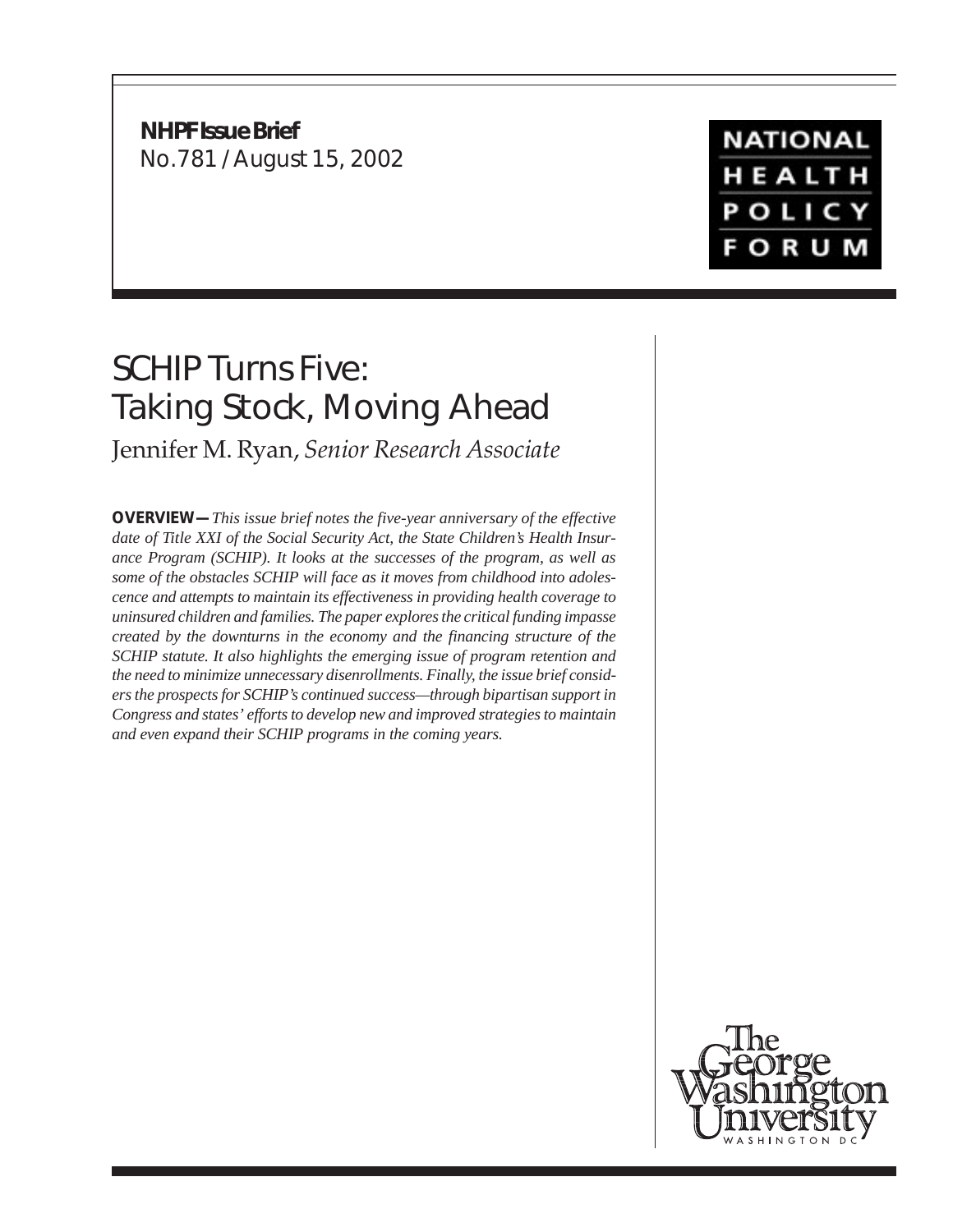**NHPF Issue Brief** No.781 / August 15, 2002

## **NATIONAL** HEALTH POLICY **FORUM**

# SCHIP Turns Five: Taking Stock, Moving Ahead

Jennifer M. Ryan, *Senior Research Associate*

**OVERVIEW—***This issue brief notes the five-year anniversary of the effective date of Title XXI of the Social Security Act, the State Children's Health Insurance Program (SCHIP). It looks at the successes of the program, as well as some of the obstacles SCHIP will face as it moves from childhood into adolescence and attempts to maintain its effectiveness in providing health coverage to uninsured children and families. The paper explores the critical funding impasse created by the downturns in the economy and the financing structure of the SCHIP statute. It also highlights the emerging issue of program retention and the need to minimize unnecessary disenrollments. Finally, the issue brief considers the prospects for SCHIP's continued success—through bipartisan support in Congress and states' efforts to develop new and improved strategies to maintain and even expand their SCHIP programs in the coming years.*

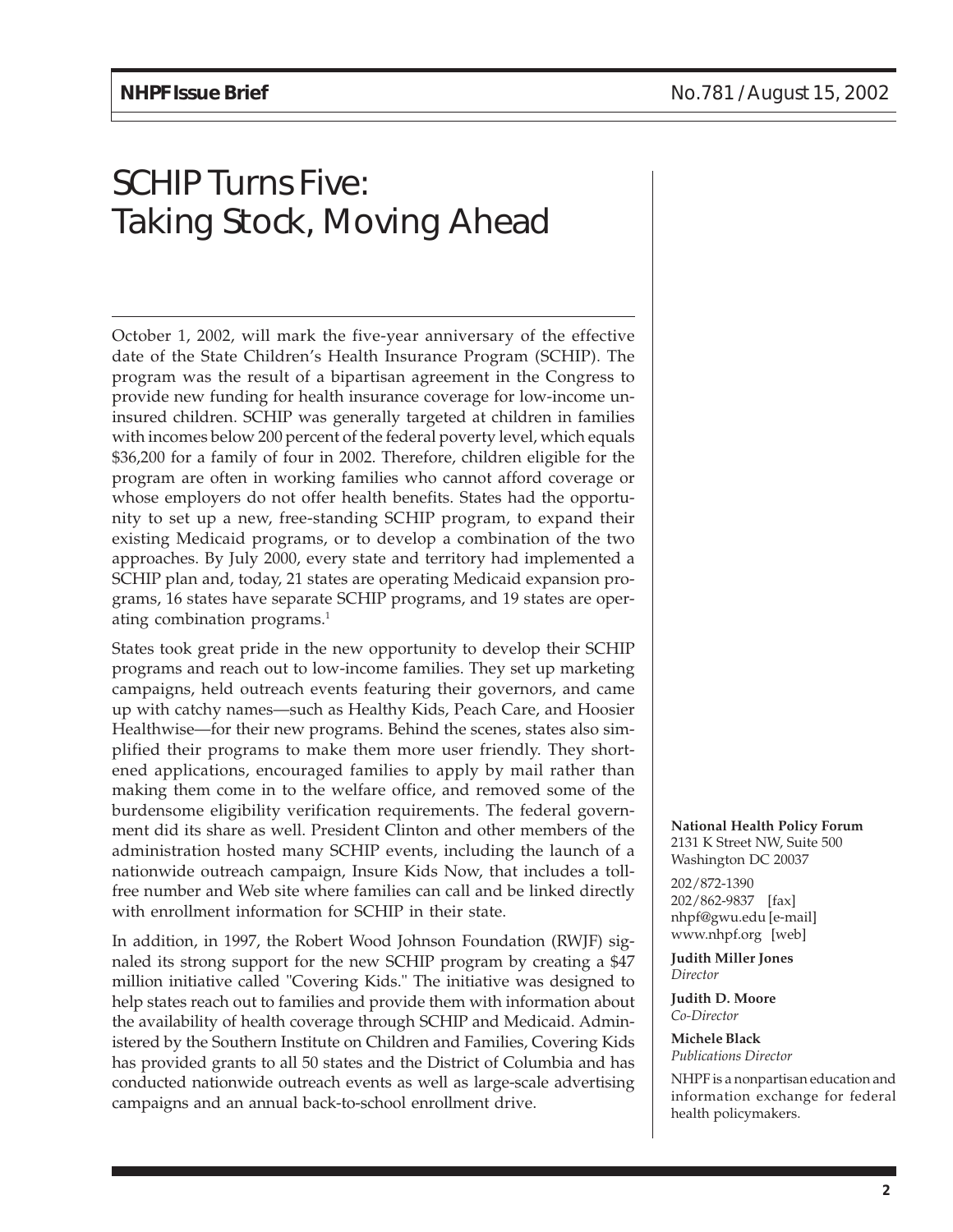# SCHIP Turns Five: Taking Stock, Moving Ahead

October 1, 2002, will mark the five-year anniversary of the effective date of the State Children's Health Insurance Program (SCHIP). The program was the result of a bipartisan agreement in the Congress to provide new funding for health insurance coverage for low-income uninsured children. SCHIP was generally targeted at children in families with incomes below 200 percent of the federal poverty level, which equals \$36,200 for a family of four in 2002. Therefore, children eligible for the program are often in working families who cannot afford coverage or whose employers do not offer health benefits. States had the opportunity to set up a new, free-standing SCHIP program, to expand their existing Medicaid programs, or to develop a combination of the two approaches. By July 2000, every state and territory had implemented a SCHIP plan and, today, 21 states are operating Medicaid expansion programs, 16 states have separate SCHIP programs, and 19 states are operating combination programs.<sup>1</sup>

States took great pride in the new opportunity to develop their SCHIP programs and reach out to low-income families. They set up marketing campaigns, held outreach events featuring their governors, and came up with catchy names—such as Healthy Kids, Peach Care, and Hoosier Healthwise—for their new programs. Behind the scenes, states also simplified their programs to make them more user friendly. They shortened applications, encouraged families to apply by mail rather than making them come in to the welfare office, and removed some of the burdensome eligibility verification requirements. The federal government did its share as well. President Clinton and other members of the administration hosted many SCHIP events, including the launch of a nationwide outreach campaign, Insure Kids Now, that includes a tollfree number and Web site where families can call and be linked directly with enrollment information for SCHIP in their state.

In addition, in 1997, the Robert Wood Johnson Foundation (RWJF) signaled its strong support for the new SCHIP program by creating a \$47 million initiative called "Covering Kids." The initiative was designed to help states reach out to families and provide them with information about the availability of health coverage through SCHIP and Medicaid. Administered by the Southern Institute on Children and Families, Covering Kids has provided grants to all 50 states and the District of Columbia and has conducted nationwide outreach events as well as large-scale advertising campaigns and an annual back-to-school enrollment drive.

**National Health Policy Forum** 2131 K Street NW, Suite 500 Washington DC 20037

202/872-1390 202/862-9837 [fax] nhpf@gwu.edu [e-mail] www.nhpf.org [web]

**Judith Miller Jones** *Director*

**Judith D. Moore** *Co-Director*

**Michele Black** *Publications Director*

NHPF is a nonpartisan education and information exchange for federal health policymakers.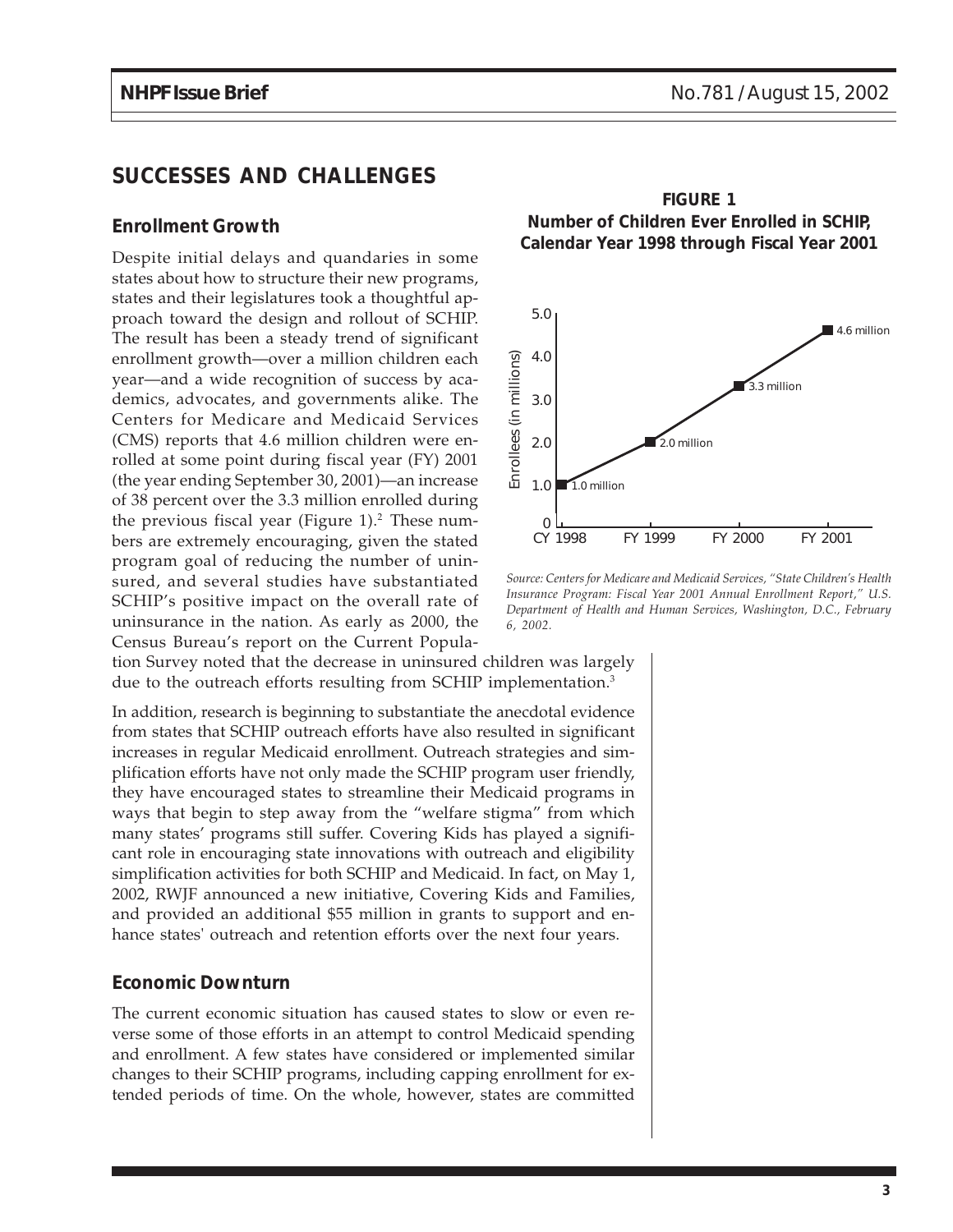#### **SUCCESSES AND CHALLENGES**

#### **Enrollment Growth**

Despite initial delays and quandaries in some states about how to structure their new programs, states and their legislatures took a thoughtful approach toward the design and rollout of SCHIP. The result has been a steady trend of significant enrollment growth—over a million children each year—and a wide recognition of success by academics, advocates, and governments alike. The Centers for Medicare and Medicaid Services (CMS) reports that 4.6 million children were enrolled at some point during fiscal year (FY) 2001 (the year ending September 30, 2001)—an increase of 38 percent over the 3.3 million enrolled during the previous fiscal year (Figure  $1$ ).<sup>2</sup> These numbers are extremely encouraging, given the stated program goal of reducing the number of uninsured, and several studies have substantiated SCHIP's positive impact on the overall rate of uninsurance in the nation. As early as 2000, the Census Bureau's report on the Current Popula-

tion Survey noted that the decrease in uninsured children was largely due to the outreach efforts resulting from SCHIP implementation.<sup>3</sup>

In addition, research is beginning to substantiate the anecdotal evidence from states that SCHIP outreach efforts have also resulted in significant increases in regular Medicaid enrollment. Outreach strategies and simplification efforts have not only made the SCHIP program user friendly, they have encouraged states to streamline their Medicaid programs in ways that begin to step away from the "welfare stigma" from which many states' programs still suffer. Covering Kids has played a significant role in encouraging state innovations with outreach and eligibility simplification activities for both SCHIP and Medicaid. In fact, on May 1, 2002, RWJF announced a new initiative, Covering Kids and Families, and provided an additional \$55 million in grants to support and enhance states' outreach and retention efforts over the next four years.

#### **Economic Downturn**

The current economic situation has caused states to slow or even reverse some of those efforts in an attempt to control Medicaid spending and enrollment. A few states have considered or implemented similar changes to their SCHIP programs, including capping enrollment for extended periods of time. On the whole, however, states are committed

**FIGURE 1 Number of Children Ever Enrolled in SCHIP, Calendar Year 1998 through Fiscal Year 2001**



*Source: Centers for Medicare and Medicaid Services, "State Children's Health Insurance Program: Fiscal Year 2001 Annual Enrollment Report," U.S. Department of Health and Human Services, Washington, D.C., February 6, 2002.*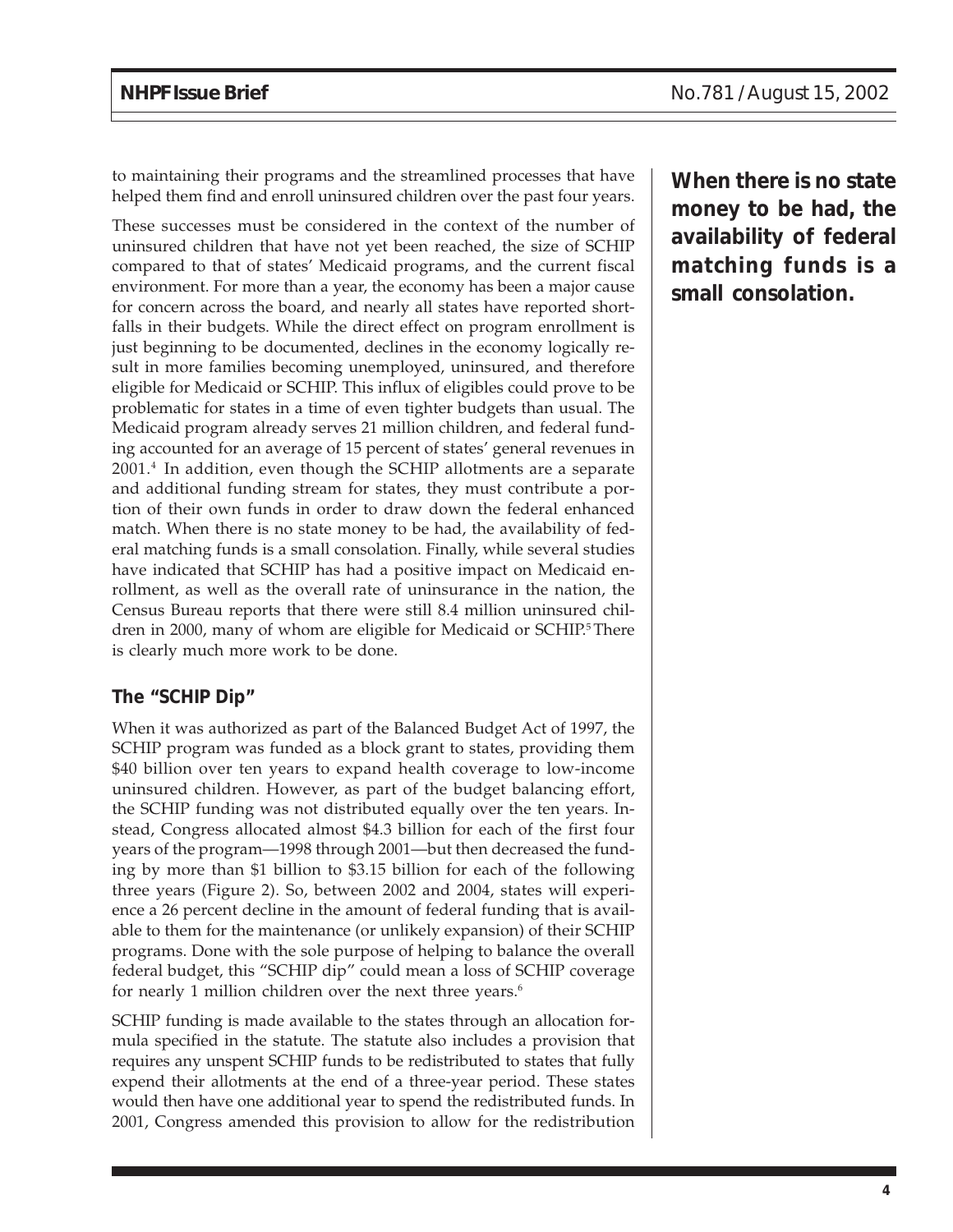to maintaining their programs and the streamlined processes that have helped them find and enroll uninsured children over the past four years.

These successes must be considered in the context of the number of uninsured children that have not yet been reached, the size of SCHIP compared to that of states' Medicaid programs, and the current fiscal environment. For more than a year, the economy has been a major cause for concern across the board, and nearly all states have reported shortfalls in their budgets. While the direct effect on program enrollment is just beginning to be documented, declines in the economy logically result in more families becoming unemployed, uninsured, and therefore eligible for Medicaid or SCHIP. This influx of eligibles could prove to be problematic for states in a time of even tighter budgets than usual. The Medicaid program already serves 21 million children, and federal funding accounted for an average of 15 percent of states' general revenues in 2001.4 In addition, even though the SCHIP allotments are a separate and additional funding stream for states, they must contribute a portion of their own funds in order to draw down the federal enhanced match. When there is no state money to be had, the availability of federal matching funds is a small consolation. Finally, while several studies have indicated that SCHIP has had a positive impact on Medicaid enrollment, as well as the overall rate of uninsurance in the nation, the Census Bureau reports that there were still 8.4 million uninsured children in 2000, many of whom are eligible for Medicaid or SCHIP.<sup>5</sup>There is clearly much more work to be done.

#### **The "SCHIP Dip"**

When it was authorized as part of the Balanced Budget Act of 1997, the SCHIP program was funded as a block grant to states, providing them \$40 billion over ten years to expand health coverage to low-income uninsured children. However, as part of the budget balancing effort, the SCHIP funding was not distributed equally over the ten years. Instead, Congress allocated almost \$4.3 billion for each of the first four years of the program—1998 through 2001—but then decreased the funding by more than \$1 billion to \$3.15 billion for each of the following three years (Figure 2). So, between 2002 and 2004, states will experience a 26 percent decline in the amount of federal funding that is available to them for the maintenance (or unlikely expansion) of their SCHIP programs. Done with the sole purpose of helping to balance the overall federal budget, this "SCHIP dip" could mean a loss of SCHIP coverage for nearly 1 million children over the next three years.<sup>6</sup>

SCHIP funding is made available to the states through an allocation formula specified in the statute. The statute also includes a provision that requires any unspent SCHIP funds to be redistributed to states that fully expend their allotments at the end of a three-year period. These states would then have one additional year to spend the redistributed funds. In 2001, Congress amended this provision to allow for the redistribution

**When there is no state money to be had, the availability of federal matching funds is a small consolation.**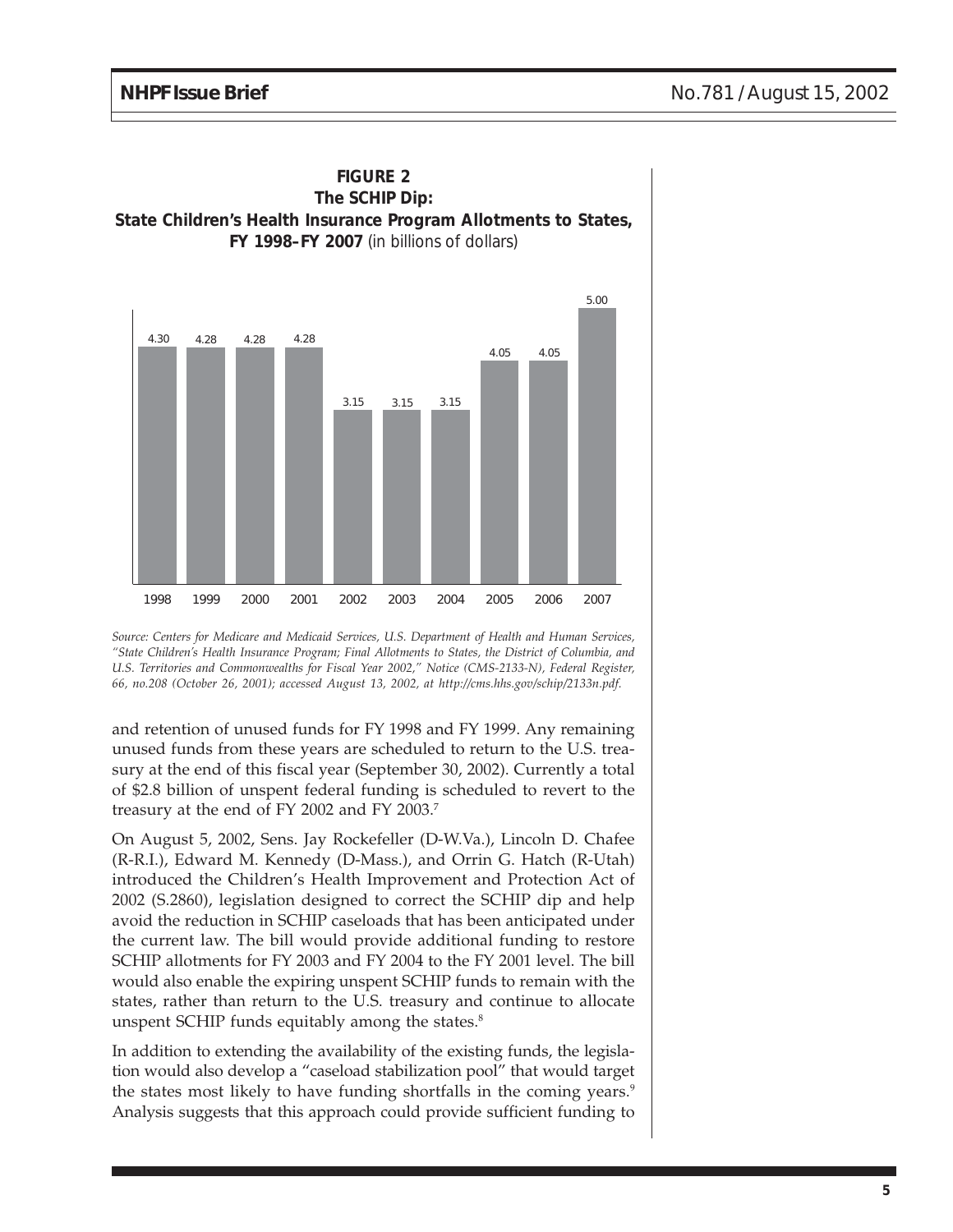

**FIGURE 2**



and retention of unused funds for FY 1998 and FY 1999. Any remaining unused funds from these years are scheduled to return to the U.S. treasury at the end of this fiscal year (September 30, 2002). Currently a total of \$2.8 billion of unspent federal funding is scheduled to revert to the treasury at the end of FY 2002 and FY 2003.<sup>7</sup>

On August 5, 2002, Sens. Jay Rockefeller (D-W.Va.), Lincoln D. Chafee (R-R.I.), Edward M. Kennedy (D-Mass.), and Orrin G. Hatch (R-Utah) introduced the Children's Health Improvement and Protection Act of 2002 (S.2860), legislation designed to correct the SCHIP dip and help avoid the reduction in SCHIP caseloads that has been anticipated under the current law. The bill would provide additional funding to restore SCHIP allotments for FY 2003 and FY 2004 to the FY 2001 level. The bill would also enable the expiring unspent SCHIP funds to remain with the states, rather than return to the U.S. treasury and continue to allocate unspent SCHIP funds equitably among the states. $8$ 

In addition to extending the availability of the existing funds, the legislation would also develop a "caseload stabilization pool" that would target the states most likely to have funding shortfalls in the coming years.<sup>9</sup> Analysis suggests that this approach could provide sufficient funding to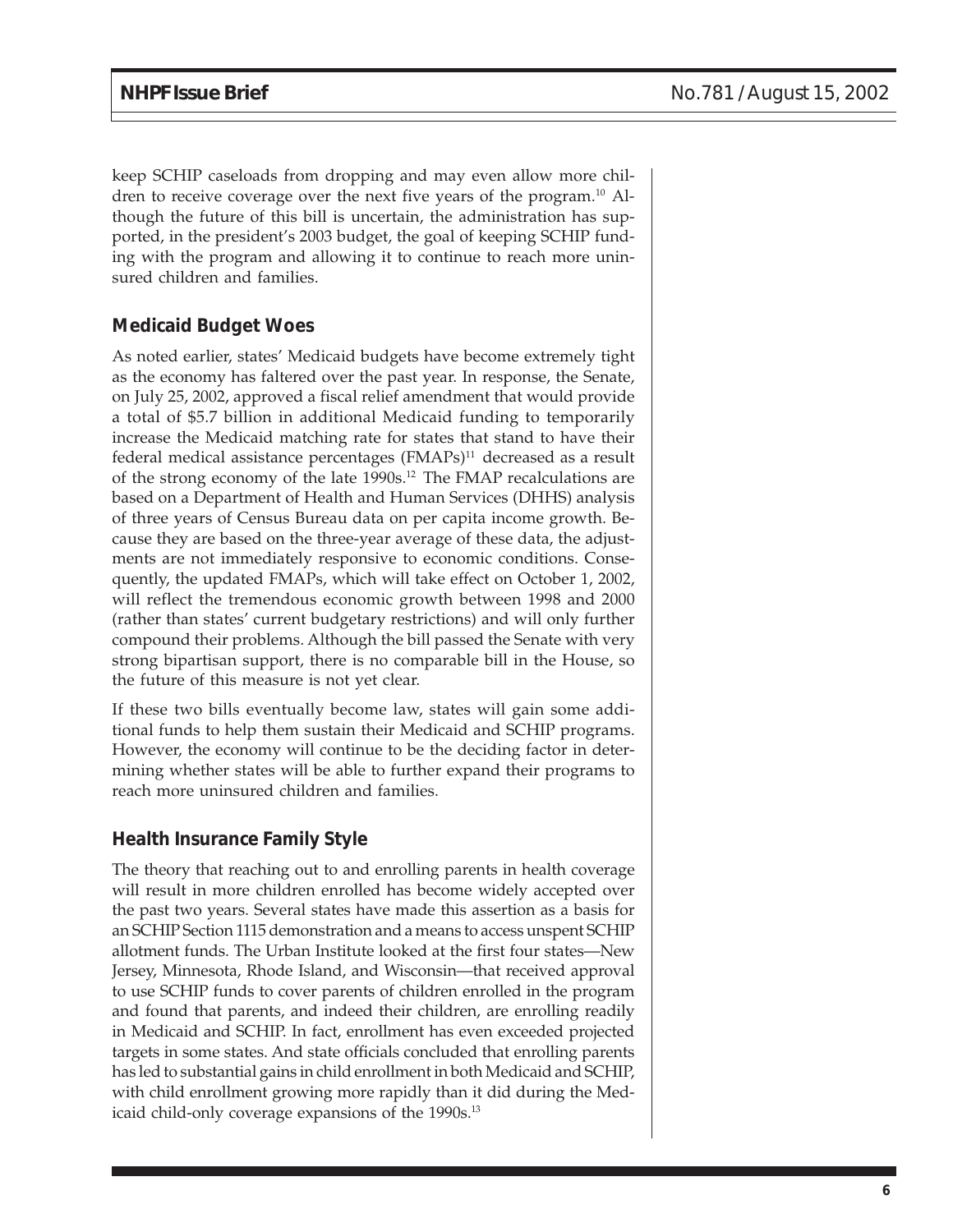keep SCHIP caseloads from dropping and may even allow more children to receive coverage over the next five years of the program.<sup>10</sup> Although the future of this bill is uncertain, the administration has supported, in the president's 2003 budget, the goal of keeping SCHIP funding with the program and allowing it to continue to reach more uninsured children and families.

#### **Medicaid Budget Woes**

As noted earlier, states' Medicaid budgets have become extremely tight as the economy has faltered over the past year. In response, the Senate, on July 25, 2002, approved a fiscal relief amendment that would provide a total of \$5.7 billion in additional Medicaid funding to temporarily increase the Medicaid matching rate for states that stand to have their federal medical assistance percentages  $(FMAPs)^{11}$  decreased as a result of the strong economy of the late 1990s.<sup>12</sup> The FMAP recalculations are based on a Department of Health and Human Services (DHHS) analysis of three years of Census Bureau data on per capita income growth. Because they are based on the three-year average of these data, the adjustments are not immediately responsive to economic conditions. Consequently, the updated FMAPs, which will take effect on October 1, 2002, will reflect the tremendous economic growth between 1998 and 2000 (rather than states' current budgetary restrictions) and will only further compound their problems. Although the bill passed the Senate with very strong bipartisan support, there is no comparable bill in the House, so the future of this measure is not yet clear.

If these two bills eventually become law, states will gain some additional funds to help them sustain their Medicaid and SCHIP programs. However, the economy will continue to be the deciding factor in determining whether states will be able to further expand their programs to reach more uninsured children and families.

#### **Health Insurance Family Style**

The theory that reaching out to and enrolling parents in health coverage will result in more children enrolled has become widely accepted over the past two years. Several states have made this assertion as a basis for an SCHIP Section 1115 demonstration and a means to access unspent SCHIP allotment funds. The Urban Institute looked at the first four states—New Jersey, Minnesota, Rhode Island, and Wisconsin—that received approval to use SCHIP funds to cover parents of children enrolled in the program and found that parents, and indeed their children, are enrolling readily in Medicaid and SCHIP. In fact, enrollment has even exceeded projected targets in some states. And state officials concluded that enrolling parents has led to substantial gains in child enrollment in both Medicaid and SCHIP, with child enrollment growing more rapidly than it did during the Medicaid child-only coverage expansions of the 1990s.<sup>13</sup>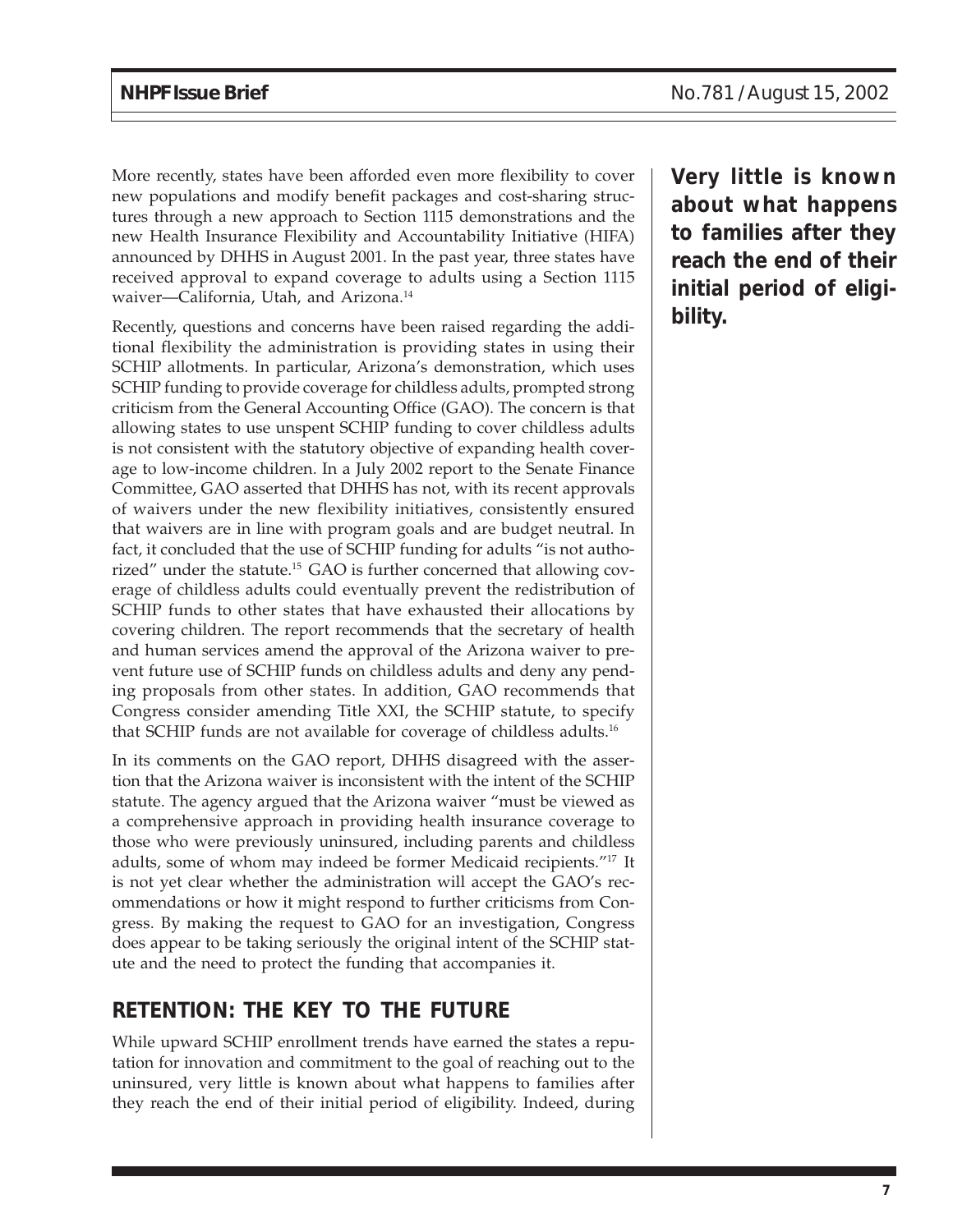More recently, states have been afforded even more flexibility to cover new populations and modify benefit packages and cost-sharing structures through a new approach to Section 1115 demonstrations and the new Health Insurance Flexibility and Accountability Initiative (HIFA) announced by DHHS in August 2001. In the past year, three states have received approval to expand coverage to adults using a Section 1115 waiver—California, Utah, and Arizona.14

Recently, questions and concerns have been raised regarding the additional flexibility the administration is providing states in using their SCHIP allotments. In particular, Arizona's demonstration, which uses SCHIP funding to provide coverage for childless adults, prompted strong criticism from the General Accounting Office (GAO). The concern is that allowing states to use unspent SCHIP funding to cover childless adults is not consistent with the statutory objective of expanding health coverage to low-income children. In a July 2002 report to the Senate Finance Committee, GAO asserted that DHHS has not, with its recent approvals of waivers under the new flexibility initiatives, consistently ensured that waivers are in line with program goals and are budget neutral. In fact, it concluded that the use of SCHIP funding for adults "is not authorized" under the statute.<sup>15</sup> GAO is further concerned that allowing coverage of childless adults could eventually prevent the redistribution of SCHIP funds to other states that have exhausted their allocations by covering children. The report recommends that the secretary of health and human services amend the approval of the Arizona waiver to prevent future use of SCHIP funds on childless adults and deny any pending proposals from other states. In addition, GAO recommends that Congress consider amending Title XXI, the SCHIP statute, to specify that SCHIP funds are not available for coverage of childless adults.16

In its comments on the GAO report, DHHS disagreed with the assertion that the Arizona waiver is inconsistent with the intent of the SCHIP statute. The agency argued that the Arizona waiver "must be viewed as a comprehensive approach in providing health insurance coverage to those who were previously uninsured, including parents and childless adults, some of whom may indeed be former Medicaid recipients."17 It is not yet clear whether the administration will accept the GAO's recommendations or how it might respond to further criticisms from Congress. By making the request to GAO for an investigation, Congress does appear to be taking seriously the original intent of the SCHIP statute and the need to protect the funding that accompanies it.

### **RETENTION: THE KEY TO THE FUTURE**

While upward SCHIP enrollment trends have earned the states a reputation for innovation and commitment to the goal of reaching out to the uninsured, very little is known about what happens to families after they reach the end of their initial period of eligibility. Indeed, during **Very little is known about what happens to families after they reach the end of their initial period of eligibility.**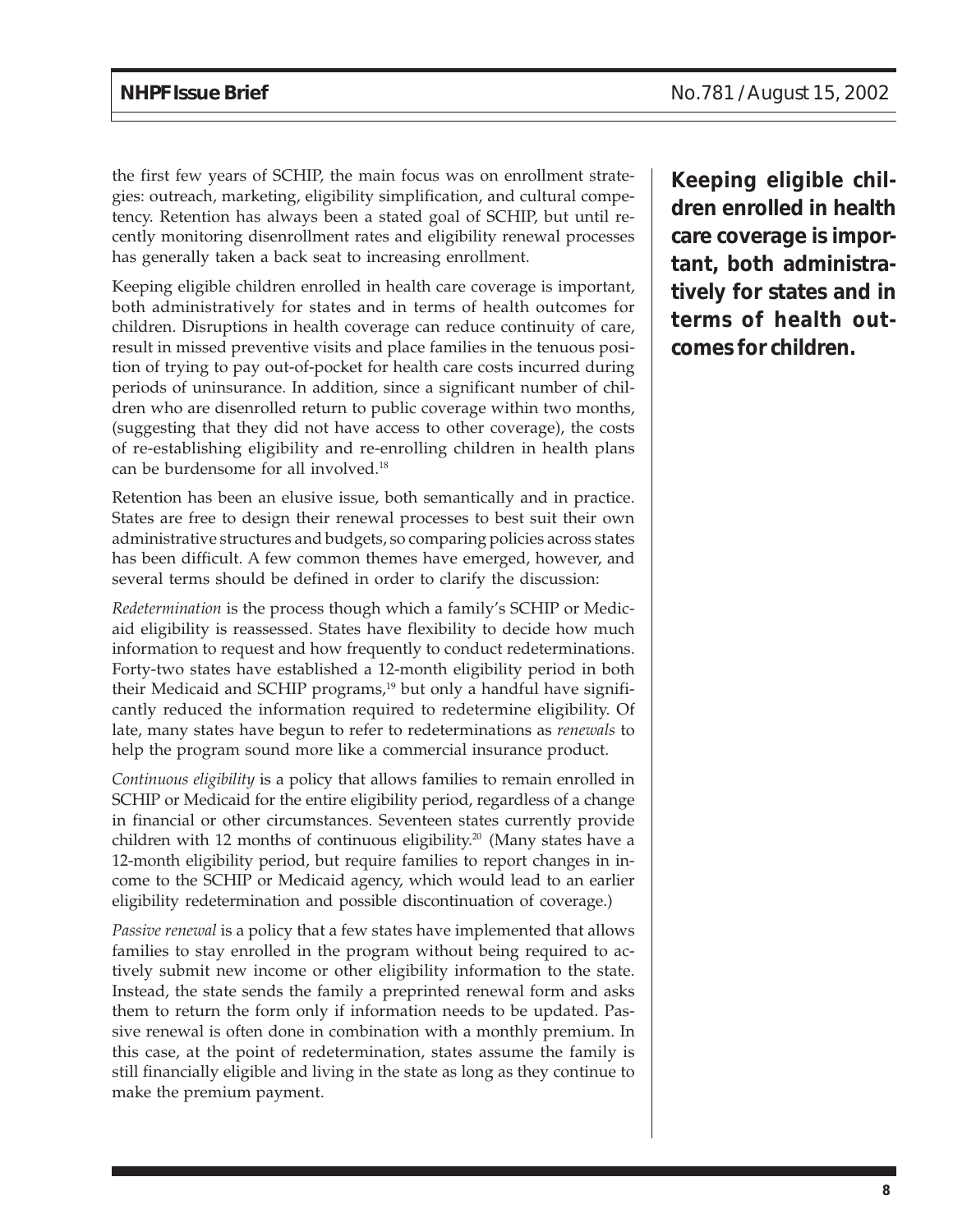the first few years of SCHIP, the main focus was on enrollment strategies: outreach, marketing, eligibility simplification, and cultural competency. Retention has always been a stated goal of SCHIP, but until recently monitoring disenrollment rates and eligibility renewal processes has generally taken a back seat to increasing enrollment.

Keeping eligible children enrolled in health care coverage is important, both administratively for states and in terms of health outcomes for children. Disruptions in health coverage can reduce continuity of care, result in missed preventive visits and place families in the tenuous position of trying to pay out-of-pocket for health care costs incurred during periods of uninsurance. In addition, since a significant number of children who are disenrolled return to public coverage within two months, (suggesting that they did not have access to other coverage), the costs of re-establishing eligibility and re-enrolling children in health plans can be burdensome for all involved.18

Retention has been an elusive issue, both semantically and in practice. States are free to design their renewal processes to best suit their own administrative structures and budgets, so comparing policies across states has been difficult. A few common themes have emerged, however, and several terms should be defined in order to clarify the discussion:

*Redetermination* is the process though which a family's SCHIP or Medicaid eligibility is reassessed. States have flexibility to decide how much information to request and how frequently to conduct redeterminations. Forty-two states have established a 12-month eligibility period in both their Medicaid and SCHIP programs,<sup>19</sup> but only a handful have significantly reduced the information required to redetermine eligibility. Of late, many states have begun to refer to redeterminations as *renewals* to help the program sound more like a commercial insurance product.

*Continuous eligibility* is a policy that allows families to remain enrolled in SCHIP or Medicaid for the entire eligibility period, regardless of a change in financial or other circumstances. Seventeen states currently provide children with 12 months of continuous eligibility.<sup>20</sup> (Many states have a 12-month eligibility period, but require families to report changes in income to the SCHIP or Medicaid agency, which would lead to an earlier eligibility redetermination and possible discontinuation of coverage.)

*Passive renewal* is a policy that a few states have implemented that allows families to stay enrolled in the program without being required to actively submit new income or other eligibility information to the state. Instead, the state sends the family a preprinted renewal form and asks them to return the form only if information needs to be updated. Passive renewal is often done in combination with a monthly premium. In this case, at the point of redetermination, states assume the family is still financially eligible and living in the state as long as they continue to make the premium payment.

**Keeping eligible children enrolled in health care coverage is important, both administratively for states and in terms of health outcomes for children.**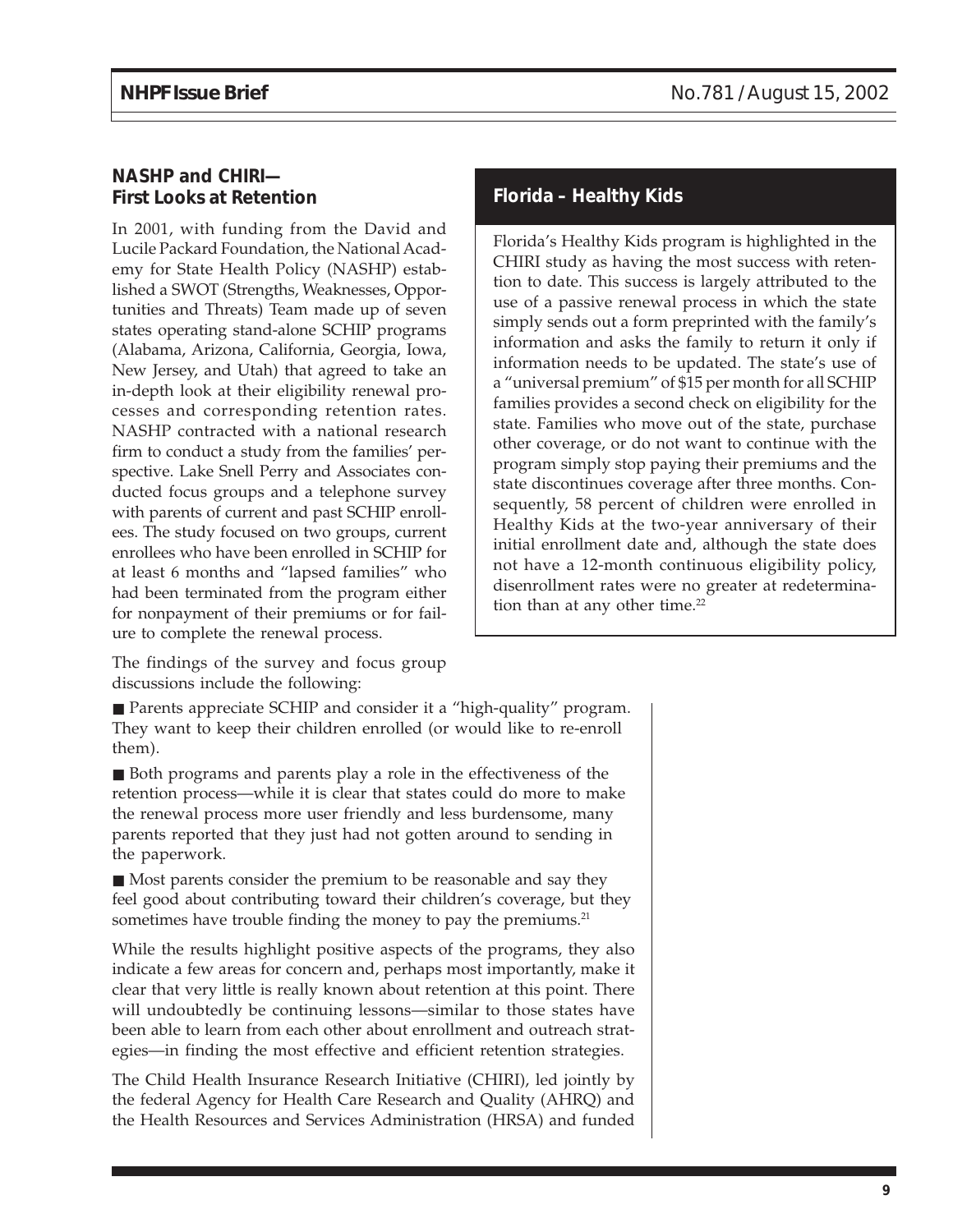#### **NASHP and CHIRI— First Looks at Retention**

In 2001, with funding from the David and Lucile Packard Foundation, the National Academy for State Health Policy (NASHP) established a SWOT (Strengths, Weaknesses, Opportunities and Threats) Team made up of seven states operating stand-alone SCHIP programs (Alabama, Arizona, California, Georgia, Iowa, New Jersey, and Utah) that agreed to take an in-depth look at their eligibility renewal processes and corresponding retention rates. NASHP contracted with a national research firm to conduct a study from the families' perspective. Lake Snell Perry and Associates conducted focus groups and a telephone survey with parents of current and past SCHIP enrollees. The study focused on two groups, current enrollees who have been enrolled in SCHIP for at least 6 months and "lapsed families" who had been terminated from the program either for nonpayment of their premiums or for failure to complete the renewal process.

The findings of the survey and focus group discussions include the following:

■ Parents appreciate SCHIP and consider it a "high-quality" program. They want to keep their children enrolled (or would like to re-enroll them).

■ Both programs and parents play a role in the effectiveness of the retention process—while it is clear that states could do more to make the renewal process more user friendly and less burdensome, many parents reported that they just had not gotten around to sending in the paperwork.

■ Most parents consider the premium to be reasonable and say they feel good about contributing toward their children's coverage, but they sometimes have trouble finding the money to pay the premiums.<sup>21</sup>

While the results highlight positive aspects of the programs, they also indicate a few areas for concern and, perhaps most importantly, make it clear that very little is really known about retention at this point. There will undoubtedly be continuing lessons—similar to those states have been able to learn from each other about enrollment and outreach strategies—in finding the most effective and efficient retention strategies.

The Child Health Insurance Research Initiative (CHIRI), led jointly by the federal Agency for Health Care Research and Quality (AHRQ) and the Health Resources and Services Administration (HRSA) and funded

#### **Florida – Healthy Kids**

Florida's Healthy Kids program is highlighted in the CHIRI study as having the most success with retention to date. This success is largely attributed to the use of a passive renewal process in which the state simply sends out a form preprinted with the family's information and asks the family to return it only if information needs to be updated. The state's use of a "universal premium" of \$15 per month for all SCHIP families provides a second check on eligibility for the state. Families who move out of the state, purchase other coverage, or do not want to continue with the program simply stop paying their premiums and the state discontinues coverage after three months. Consequently, 58 percent of children were enrolled in Healthy Kids at the two-year anniversary of their initial enrollment date and, although the state does not have a 12-month continuous eligibility policy, disenrollment rates were no greater at redetermination than at any other time.<sup>22</sup>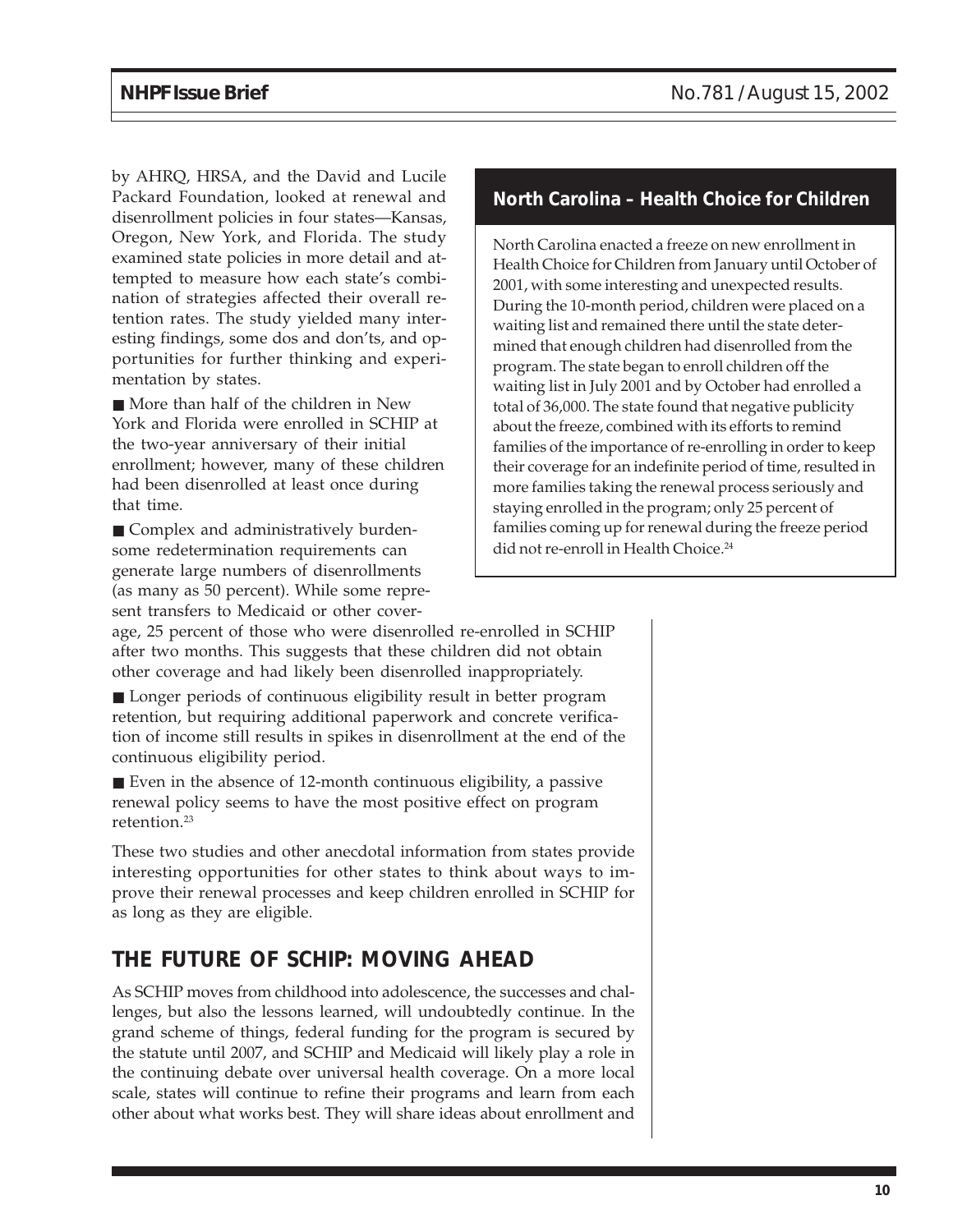by AHRQ, HRSA, and the David and Lucile Packard Foundation, looked at renewal and disenrollment policies in four states—Kansas, Oregon, New York, and Florida. The study examined state policies in more detail and attempted to measure how each state's combination of strategies affected their overall retention rates. The study yielded many interesting findings, some dos and don'ts, and opportunities for further thinking and experimentation by states.

■ More than half of the children in New York and Florida were enrolled in SCHIP at the two-year anniversary of their initial enrollment; however, many of these children had been disenrolled at least once during that time.

■ Complex and administratively burdensome redetermination requirements can generate large numbers of disenrollments (as many as 50 percent). While some represent transfers to Medicaid or other cover-

#### **North Carolina – Health Choice for Children**

North Carolina enacted a freeze on new enrollment in Health Choice for Children from January until October of 2001, with some interesting and unexpected results. During the 10-month period, children were placed on a waiting list and remained there until the state determined that enough children had disenrolled from the program. The state began to enroll children off the waiting list in July 2001 and by October had enrolled a total of 36,000. The state found that negative publicity about the freeze, combined with its efforts to remind families of the importance of re-enrolling in order to keep their coverage for an indefinite period of time, resulted in more families taking the renewal process seriously and staying enrolled in the program; only 25 percent of families coming up for renewal during the freeze period did not re-enroll in Health Choice.<sup>24</sup>

age, 25 percent of those who were disenrolled re-enrolled in SCHIP after two months. This suggests that these children did not obtain other coverage and had likely been disenrolled inappropriately.

■ Longer periods of continuous eligibility result in better program retention, but requiring additional paperwork and concrete verification of income still results in spikes in disenrollment at the end of the continuous eligibility period.

■ Even in the absence of 12-month continuous eligibility, a passive renewal policy seems to have the most positive effect on program retention.23

These two studies and other anecdotal information from states provide interesting opportunities for other states to think about ways to improve their renewal processes and keep children enrolled in SCHIP for as long as they are eligible.

### **THE FUTURE OF SCHIP: MOVING AHEAD**

As SCHIP moves from childhood into adolescence, the successes and challenges, but also the lessons learned, will undoubtedly continue. In the grand scheme of things, federal funding for the program is secured by the statute until 2007, and SCHIP and Medicaid will likely play a role in the continuing debate over universal health coverage. On a more local scale, states will continue to refine their programs and learn from each other about what works best. They will share ideas about enrollment and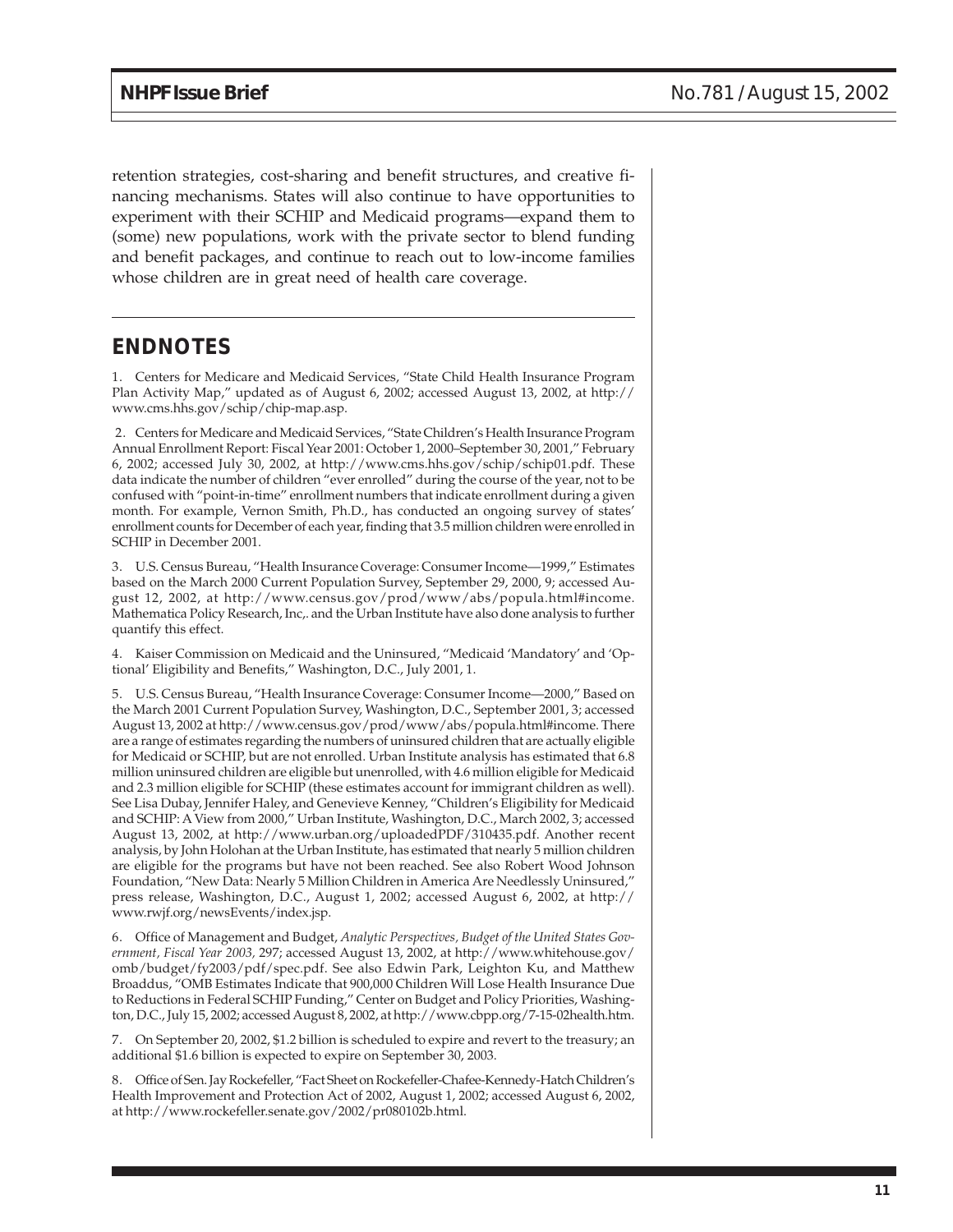retention strategies, cost-sharing and benefit structures, and creative financing mechanisms. States will also continue to have opportunities to experiment with their SCHIP and Medicaid programs—expand them to (some) new populations, work with the private sector to blend funding and benefit packages, and continue to reach out to low-income families whose children are in great need of health care coverage.

#### **ENDNOTES**

1. Centers for Medicare and Medicaid Services, "State Child Health Insurance Program Plan Activity Map," updated as of August 6, 2002; accessed August 13, 2002, at http:// www.cms.hhs.gov/schip/chip-map.asp.

2. Centers for Medicare and Medicaid Services, "State Children's Health Insurance Program Annual Enrollment Report: Fiscal Year 2001: October 1, 2000–September 30, 2001," February 6, 2002; accessed July 30, 2002, at http://www.cms.hhs.gov/schip/schip01.pdf. These data indicate the number of children "ever enrolled" during the course of the year, not to be confused with "point-in-time" enrollment numbers that indicate enrollment during a given month. For example, Vernon Smith, Ph.D., has conducted an ongoing survey of states' enrollment counts for December of each year, finding that 3.5 million children were enrolled in SCHIP in December 2001.

3. U.S. Census Bureau, "Health Insurance Coverage: Consumer Income—1999," Estimates based on the March 2000 Current Population Survey, September 29, 2000, 9; accessed August 12, 2002, at http://www.census.gov/prod/www/abs/popula.html#income. Mathematica Policy Research, Inc,. and the Urban Institute have also done analysis to further quantify this effect.

4. Kaiser Commission on Medicaid and the Uninsured, "Medicaid 'Mandatory' and 'Optional' Eligibility and Benefits," Washington, D.C., July 2001, 1.

5. U.S. Census Bureau, "Health Insurance Coverage: Consumer Income—2000," Based on the March 2001 Current Population Survey, Washington, D.C., September 2001, 3; accessed August 13, 2002 at http://www.census.gov/prod/www/abs/popula.html#income. There are a range of estimates regarding the numbers of uninsured children that are actually eligible for Medicaid or SCHIP, but are not enrolled. Urban Institute analysis has estimated that 6.8 million uninsured children are eligible but unenrolled, with 4.6 million eligible for Medicaid and 2.3 million eligible for SCHIP (these estimates account for immigrant children as well). See Lisa Dubay, Jennifer Haley, and Genevieve Kenney, "Children's Eligibility for Medicaid and SCHIP: A View from 2000," Urban Institute, Washington, D.C., March 2002, 3; accessed August 13, 2002, at http://www.urban.org/uploadedPDF/310435.pdf. Another recent analysis, by John Holohan at the Urban Institute, has estimated that nearly 5 million children are eligible for the programs but have not been reached. See also Robert Wood Johnson Foundation, "New Data: Nearly 5 Million Children in America Are Needlessly Uninsured," press release, Washington, D.C., August 1, 2002; accessed August 6, 2002, at http:// www.rwjf.org/newsEvents/index.jsp.

6. Office of Management and Budget, *Analytic Perspectives, Budget of the United States Government, Fiscal Year 2003,* 297; accessed August 13, 2002, at http://www.whitehouse.gov/ omb/budget/fy2003/pdf/spec.pdf. See also Edwin Park, Leighton Ku, and Matthew Broaddus, "OMB Estimates Indicate that 900,000 Children Will Lose Health Insurance Due to Reductions in Federal SCHIP Funding," Center on Budget and Policy Priorities, Washington, D.C., July 15, 2002; accessed August 8, 2002, at http://www.cbpp.org/7-15-02health.htm.

7. On September 20, 2002, \$1.2 billion is scheduled to expire and revert to the treasury; an additional \$1.6 billion is expected to expire on September 30, 2003.

8. Office of Sen. Jay Rockefeller, "Fact Sheet on Rockefeller-Chafee-Kennedy-Hatch Children's Health Improvement and Protection Act of 2002, August 1, 2002; accessed August 6, 2002, at http://www.rockefeller.senate.gov/2002/pr080102b.html.